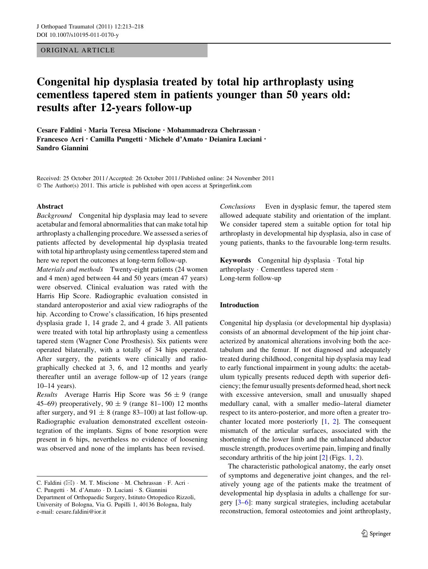ORIGINAL ARTICLE

# Congenital hip dysplasia treated by total hip arthroplasty using cementless tapered stem in patients younger than 50 years old: results after 12-years follow-up

Cesare Faldini • Maria Teresa Miscione • Mohammadreza Chehrassan • Francesco Acri • Camilla Pungetti • Michele d'Amato • Deianira Luciani • Sandro Giannini

Received: 25 October 2011 / Accepted: 26 October 2011 / Published online: 24 November 2011 © The Author(s) 2011. This article is published with open access at Springerlink.com

#### Abstract

Background Congenital hip dysplasia may lead to severe acetabular and femoral abnormalities that can make total hip arthroplasty a challenging procedure. We assessed a series of patients affected by developmental hip dysplasia treated with total hip arthroplasty using cementless tapered stem and here we report the outcomes at long-term follow-up.

Materials and methods Twenty-eight patients (24 women and 4 men) aged between 44 and 50 years (mean 47 years) were observed. Clinical evaluation was rated with the Harris Hip Score. Radiographic evaluation consisted in standard anteroposterior and axial view radiographs of the hip. According to Crowe's classification, 16 hips presented dysplasia grade 1, 14 grade 2, and 4 grade 3. All patients were treated with total hip arthroplasty using a cementless tapered stem (Wagner Cone Prosthesis). Six patients were operated bilaterally, with a totally of 34 hips operated. After surgery, the patients were clinically and radiographically checked at 3, 6, and 12 months and yearly thereafter until an average follow-up of 12 years (range 10–14 years).

*Results* Average Harris Hip Score was  $56 \pm 9$  (range 45–69) preoperatively,  $90 \pm 9$  (range 81–100) 12 months after surgery, and  $91 \pm 8$  (range 83–100) at last follow-up. Radiographic evaluation demonstrated excellent osteointegration of the implants. Signs of bone resorption were present in 6 hips, nevertheless no evidence of loosening was observed and none of the implants has been revised.

C. Pungetti - M. d'Amato - D. Luciani - S. Giannini

Conclusions Even in dysplasic femur, the tapered stem allowed adequate stability and orientation of the implant. We consider tapered stem a suitable option for total hip arthroplasty in developmental hip dysplasia, also in case of young patients, thanks to the favourable long-term results.

Keywords Congenital hip dysplasia · Total hip arthroplasty - Cementless tapered stem - Long-term follow-up

## Introduction

Congenital hip dysplasia (or developmental hip dysplasia) consists of an abnormal development of the hip joint characterized by anatomical alterations involving both the acetabulum and the femur. If not diagnosed and adequately treated during childhood, congenital hip dysplasia may lead to early functional impairment in young adults: the acetabulum typically presents reduced depth with superior deficiency; the femur usually presents deformed head, short neck with excessive anteversion, small and unusually shaped medullary canal, with a smaller medio–lateral diameter respect to its antero-posterior, and more often a greater trochanter located more posteriorly [\[1](#page-4-0), [2](#page-4-0)]. The consequent mismatch of the articular surfaces, associated with the shortening of the lower limb and the unbalanced abductor muscle strength, produces overtime pain, limping and finally secondary arthritis of the hip joint [[2\]](#page-4-0) (Figs. [1,](#page-1-0) [2\)](#page-1-0).

The characteristic pathological anatomy, the early onset of symptoms and degenerative joint changes, and the relatively young age of the patients make the treatment of developmental hip dysplasia in adults a challenge for surgery [\[3–6\]](#page-4-0): many surgical strategies, including acetabular reconstruction, femoral osteotomies and joint arthroplasty,

C. Faldini ( $\boxtimes$ ) · M. T. Miscione · M. Chehrassan · F. Acri ·

Department of Orthopaedic Surgery, Istituto Ortopedico Rizzoli, University of Bologna, Via G. Pupilli 1, 40136 Bologna, Italy e-mail: cesare.faldini@ior.it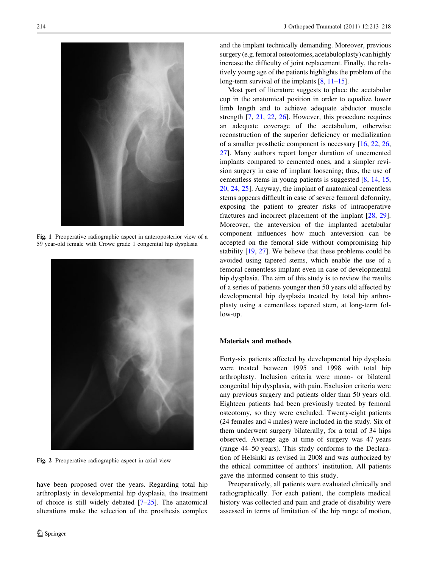<span id="page-1-0"></span>

Fig. 1 Preoperative radiographic aspect in anteroposterior view of a 59 year-old female with Crowe grade 1 congenital hip dysplasia



Fig. 2 Preoperative radiographic aspect in axial view

have been proposed over the years. Regarding total hip arthroplasty in developmental hip dysplasia, the treatment of choice is still widely debated  $[7-25]$  $[7-25]$  $[7-25]$  $[7-25]$ . The anatomical alterations make the selection of the prosthesis complex

and the implant technically demanding. Moreover, previous surgery (e.g. femoral osteotomies, acetabuloplasty) can highly increase the difficulty of joint replacement. Finally, the relatively young age of the patients highlights the problem of the long-term survival of the implants [[8,](#page-4-0) [11](#page-4-0)[–15\]](#page-5-0).

Most part of literature suggests to place the acetabular cup in the anatomical position in order to equalize lower limb length and to achieve adequate abductor muscle strength [\[7](#page-4-0), [21](#page-5-0), [22](#page-5-0), [26](#page-5-0)]. However, this procedure requires an adequate coverage of the acetabulum, otherwise reconstruction of the superior deficiency or medialization of a smaller prosthetic component is necessary [\[16](#page-5-0), [22](#page-5-0), [26,](#page-5-0) [27](#page-5-0)]. Many authors report longer duration of uncemented implants compared to cemented ones, and a simpler revision surgery in case of implant loosening; thus, the use of cementless stems in young patients is suggested [\[8](#page-4-0), [14](#page-5-0), [15,](#page-5-0) [20](#page-5-0), [24](#page-5-0), [25\]](#page-5-0). Anyway, the implant of anatomical cementless stems appears difficult in case of severe femoral deformity, exposing the patient to greater risks of intraoperative fractures and incorrect placement of the implant [\[28](#page-5-0), [29](#page-5-0)]. Moreover, the anteversion of the implanted acetabular component influences how much anteversion can be accepted on the femoral side without compromising hip stability [[19,](#page-5-0) [27](#page-5-0)]. We believe that these problems could be avoided using tapered stems, which enable the use of a femoral cementless implant even in case of developmental hip dysplasia. The aim of this study is to review the results of a series of patients younger then 50 years old affected by developmental hip dysplasia treated by total hip arthroplasty using a cementless tapered stem, at long-term follow-up.

## Materials and methods

Forty-six patients affected by developmental hip dysplasia were treated between 1995 and 1998 with total hip arthroplasty. Inclusion criteria were mono- or bilateral congenital hip dysplasia, with pain. Exclusion criteria were any previous surgery and patients older than 50 years old. Eighteen patients had been previously treated by femoral osteotomy, so they were excluded. Twenty-eight patients (24 females and 4 males) were included in the study. Six of them underwent surgery bilaterally, for a total of 34 hips observed. Average age at time of surgery was 47 years (range 44–50 years). This study conforms to the Declaration of Helsinki as revised in 2008 and was authorized by the ethical committee of authors' institution. All patients gave the informed consent to this study.

Preoperatively, all patients were evaluated clinically and radiographically. For each patient, the complete medical history was collected and pain and grade of disability were assessed in terms of limitation of the hip range of motion,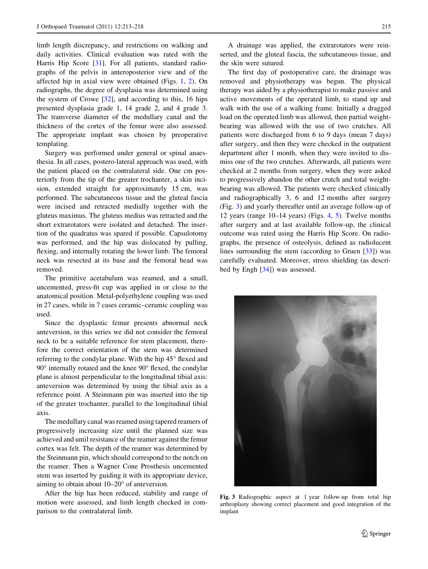limb length discrepancy, and restrictions on walking and daily activities. Clinical evaluation was rated with the Harris Hip Score [\[31](#page-5-0)]. For all patients, standard radiographs of the pelvis in anteroposterior view and of the affected hip in axial view were obtained (Figs. [1,](#page-1-0) [2](#page-1-0)). On radiographs, the degree of dysplasia was determined using the system of Crowe [[32\]](#page-5-0), and according to this, 16 hips presented dysplasia grade 1, 14 grade 2, and 4 grade 3. The transverse diameter of the medullary canal and the thickness of the cortex of the femur were also assessed. The appropriate implant was chosen by preoperative templating.

Surgery was performed under general or spinal anaesthesia. In all cases, postero-lateral approach was used, with the patient placed on the contralateral side. One cm posteriorly from the tip of the greater trochanter, a skin incision, extended straight for approximately 15 cm, was performed. The subcutaneous tissue and the gluteal fascia were incised and retracted medially together with the gluteus maximus. The gluteus medius was retracted and the short extrarotators were isolated and detached. The insertion of the quadratus was spared if possible. Capsulotomy was performed, and the hip was dislocated by pulling, flexing, and internally rotating the lower limb. The femoral neck was resected at its base and the femoral head was removed.

The primitive acetabulum was reamed, and a small, uncemented, press-fit cup was applied in or close to the anatomical position. Metal-polyethylene coupling was used in 27 cases, while in 7 cases ceramic–ceramic coupling was used.

Since the dysplastic femur presents abnormal neck anteversion, in this series we did not consider the femoral neck to be a suitable reference for stem placement, therefore the correct orientation of the stem was determined referring to the condylar plane. With the hip 45° flexed and  $90^\circ$  internally rotated and the knee  $90^\circ$  flexed, the condylar plane is almost perpendicular to the longitudinal tibial axis: anteversion was determined by using the tibial axis as a reference point. A Steinmann pin was inserted into the tip of the greater trochanter, parallel to the longitudinal tibial axis.

The medullary canal was reamed using tapered reamers of progressively increasing size until the planned size was achieved and until resistance of the reamer against the femur cortex was felt. The depth of the reamer was determined by the Steinmann pin, which should correspond to the notch on the reamer. Then a Wagner Cone Prosthesis uncemented stem was inserted by guiding it with its appropriate device, aiming to obtain about  $10-20^\circ$  of anteversion.

After the hip has been reduced, stability and range of motion were assessed, and limb length checked in comparison to the contralateral limb.

A drainage was applied, the extrarotators were reinserted, and the gluteal fascia, the subcutaneous tissue, and the skin were sutured.

The first day of postoperative care, the drainage was removed and physiotherapy was begun. The physical therapy was aided by a physiotherapist to make passive and active movements of the operated limb, to stand up and walk with the use of a walking frame. Initially a dragged load on the operated limb was allowed, then partial weightbearing was allowed with the use of two crutches. All patients were discharged from 6 to 9 days (mean 7 days) after surgery, and then they were checked in the outpatient department after 1 month, when they were invited to dismiss one of the two crutches. Afterwards, all patients were checked at 2 months from surgery, when they were asked to progressively abandon the other crutch and total weightbearing was allowed. The patients were checked clinically and radiographically 3, 6 and 12 months after surgery (Fig. 3) and yearly thereafter until an average follow-up of 12 years (range 10–14 years) (Figs. [4,](#page-3-0) [5\)](#page-3-0). Twelve months after surgery and at last available follow-up, the clinical outcome was rated using the Harris Hip Score. On radiographs, the presence of osteolysis, defined as radiolucent lines surrounding the stem (according to Gruen [[33\]](#page-5-0)) was carefully evaluated. Moreover, stress shielding (as described by Engh [[34\]](#page-5-0)) was assessed.



Fig. 3 Radiographic aspect at 1 year follow-up from total hip arthroplasty showing correct placement and good integration of the implant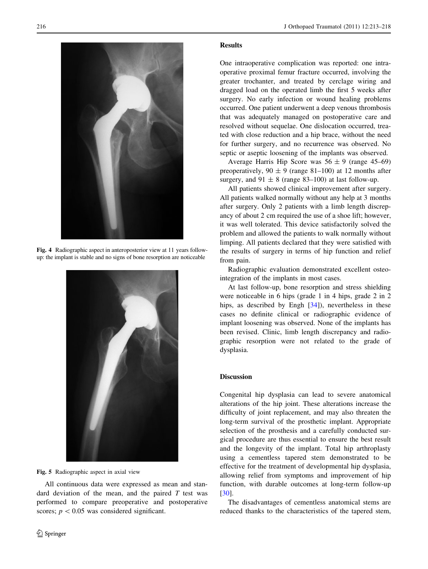<span id="page-3-0"></span>

Fig. 4 Radiographic aspect in anteroposterior view at 11 years followup: the implant is stable and no signs of bone resorption are noticeable



## Fig. 5 Radiographic aspect in axial view

All continuous data were expressed as mean and standard deviation of the mean, and the paired  $T$  test was performed to compare preoperative and postoperative scores;  $p < 0.05$  was considered significant.

#### Results

One intraoperative complication was reported: one intraoperative proximal femur fracture occurred, involving the greater trochanter, and treated by cerclage wiring and dragged load on the operated limb the first 5 weeks after surgery. No early infection or wound healing problems occurred. One patient underwent a deep venous thrombosis that was adequately managed on postoperative care and resolved without sequelae. One dislocation occurred, treated with close reduction and a hip brace, without the need for further surgery, and no recurrence was observed. No septic or aseptic loosening of the implants was observed.

Average Harris Hip Score was  $56 \pm 9$  (range 45–69) preoperatively,  $90 \pm 9$  (range 81–100) at 12 months after surgery, and  $91 \pm 8$  (range 83–100) at last follow-up.

All patients showed clinical improvement after surgery. All patients walked normally without any help at 3 months after surgery. Only 2 patients with a limb length discrepancy of about 2 cm required the use of a shoe lift; however, it was well tolerated. This device satisfactorily solved the problem and allowed the patients to walk normally without limping. All patients declared that they were satisfied with the results of surgery in terms of hip function and relief from pain.

Radiographic evaluation demonstrated excellent osteointegration of the implants in most cases.

At last follow-up, bone resorption and stress shielding were noticeable in 6 hips (grade 1 in 4 hips, grade 2 in 2 hips, as described by Engh [[34\]](#page-5-0)), nevertheless in these cases no definite clinical or radiographic evidence of implant loosening was observed. None of the implants has been revised. Clinic, limb length discrepancy and radiographic resorption were not related to the grade of dysplasia.

## Discussion

Congenital hip dysplasia can lead to severe anatomical alterations of the hip joint. These alterations increase the difficulty of joint replacement, and may also threaten the long-term survival of the prosthetic implant. Appropriate selection of the prosthesis and a carefully conducted surgical procedure are thus essential to ensure the best result and the longevity of the implant. Total hip arthroplasty using a cementless tapered stem demonstrated to be effective for the treatment of developmental hip dysplasia, allowing relief from symptoms and improvement of hip function, with durable outcomes at long-term follow-up [\[30](#page-5-0)].

The disadvantages of cementless anatomical stems are reduced thanks to the characteristics of the tapered stem,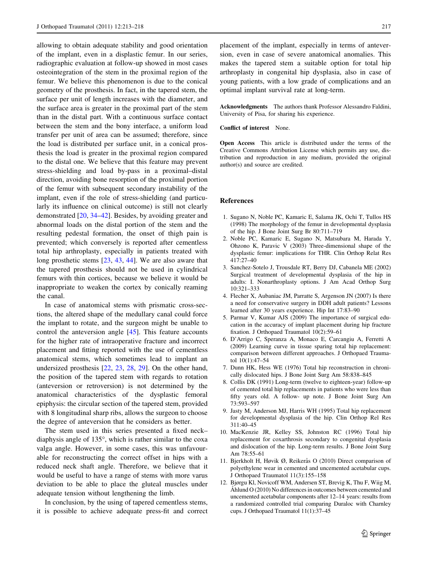<span id="page-4-0"></span>allowing to obtain adequate stability and good orientation of the implant, even in a displastic femur. In our series, radiographic evaluation at follow-up showed in most cases osteointegration of the stem in the proximal region of the femur. We believe this phenomenon is due to the conical geometry of the prosthesis. In fact, in the tapered stem, the surface per unit of length increases with the diameter, and the surface area is greater in the proximal part of the stem than in the distal part. With a continuous surface contact between the stem and the bony interface, a uniform load transfer per unit of area can be assumed; therefore, since the load is distributed per surface unit, in a conical prosthesis the load is greater in the proximal region compared to the distal one. We believe that this feature may prevent stress-shielding and load by-pass in a proximal–distal direction, avoiding bone resorption of the proximal portion of the femur with subsequent secondary instability of the implant, even if the role of stress-shielding (and particularly its influence on clinical outcome) is still not clearly demonstrated [[20,](#page-5-0) [34–42\]](#page-5-0). Besides, by avoiding greater and abnormal loads on the distal portion of the stem and the resulting pedestal formation, the onset of thigh pain is prevented; which conversely is reported after cementless total hip arthroplasty, especially in patients treated with long prosthetic stems [\[23](#page-5-0), [43,](#page-5-0) [44\]](#page-5-0). We are also aware that the tapered prosthesis should not be used in cylindrical femurs with thin cortices, because we believe it would be inappropriate to weaken the cortex by conically reaming the canal.

In case of anatomical stems with prismatic cross-sections, the altered shape of the medullary canal could force the implant to rotate, and the surgeon might be unable to control the anteversion angle [[45\]](#page-5-0). This feature accounts for the higher rate of intraoperative fracture and incorrect placement and fitting reported with the use of cementless anatomical stems, which sometimes lead to implant an undersized prosthesis [[22,](#page-5-0) [23,](#page-5-0) [28](#page-5-0), [29](#page-5-0)]. On the other hand, the position of the tapered stem with regards to rotation (anteversion or retroversion) is not determined by the anatomical characteristics of the dysplastic femoral epiphysis: the circular section of the tapered stem, provided with 8 longitudinal sharp ribs, allows the surgeon to choose the degree of anteversion that he considers as better.

The stem used in this series presented a fixed neck– diaphysis angle of  $135^{\circ}$ , which is rather similar to the coxa valga angle. However, in some cases, this was unfavourable for reconstructing the correct offset in hips with a reduced neck shaft angle. Therefore, we believe that it would be useful to have a range of stems with more varus deviation to be able to place the gluteal muscles under adequate tension without lengthening the limb.

In conclusion, by the using of tapered cementless stems, it is possible to achieve adequate press-fit and correct placement of the implant, especially in terms of anteversion, even in case of severe anatomical anomalies. This makes the tapered stem a suitable option for total hip arthroplasty in congenital hip dysplasia, also in case of young patients, with a low grade of complications and an optimal implant survival rate at long-term.

Acknowledgments The authors thank Professor Alessandro Faldini, University of Pisa, for sharing his experience.

#### Conflict of interest None.

Open Access This article is distributed under the terms of the Creative Commons Attribution License which permits any use, distribution and reproduction in any medium, provided the original author(s) and source are credited.

#### References

- 1. Sugano N, Noble PC, Kamaric E, Salama JK, Ochi T, Tullos HS (1998) The morphology of the femur in developmental dysplasia of the hip. J Bone Joint Surg Br 80:711–719
- 2. Noble PC, Kamaric E, Sugano N, Matsubara M, Harada Y, Ohzono K, Paravic V (2003) Three-dimensional shape of the dysplastic femur: implications for THR. Clin Orthop Relat Res 417:27–40
- 3. Sanchez-Sotelo J, Trousdale RT, Berry DJ, Cabanela ME (2002) Surgical treatment of developmental dysplasia of the hip in adults: I. Nonarthroplasty options. J Am Acad Orthop Surg 10:321–333
- 4. Flecher X, Aubaniac JM, Parratte S, Argenson JN (2007) Is there a need for conservative surgery in DDH adult patients? Lessons learned after 30 years experience. Hip Int 17:83–90
- 5. Parmar V, Kumar AJS (2009) The importance of surgical education in the accuracy of implant placement during hip fracture fixation. J Orthopaed Traumatol 10(2):59–61
- 6. D'Arrigo C, Speranza A, Monaco E, Carcangiu A, Ferretti A (2009) Learning curve in tissue sparing total hip replacement: comparison between different approaches. J Orthopaed Traumatol 10(1):47–54
- 7. Dunn HK, Hess WE (1976) Total hip reconstruction in chronically dislocated hips. J Bone Joint Surg Am 58:838–845
- 8. Collis DK (1991) Long-term (twelve to eighteen-year) follow-up of cemented total hip replacements in patients who were less than fifty years old. A follow- up note. J Bone Joint Surg Am 73:593–597
- 9. Jasty M, Anderson MJ, Harris WH (1995) Total hip replacement for developmental dysplasia of the hip. Clin Orthop Rel Res 311:40–45
- 10. MacKenzie JR, Kelley SS, Johnston RC (1996) Total hip replacement for coxarthrosis secondary to congenital dysplasia and dislocation of the hip. Long-term results. J Bone Joint Surg Am 78:55–61
- 11. Bjerkholt H, Høvik Ø, Reikerås O (2010) Direct comparison of polyethylene wear in cemented and uncemented acetabular cups. J Orthopaed Traumatol 11(3):155–158
- 12. Bjørgu Kl, Novicoff WM, Andersen ST, Brevig K, Thu F, Wiig M, Åhlund  $O(2010)$  No differences in outcomes between cemented and uncemented acetabular components after 12–14 years: results from a randomized controlled trial comparing Duraloc with Charnley cups. J Orthopaed Traumatol 11(1):37–45